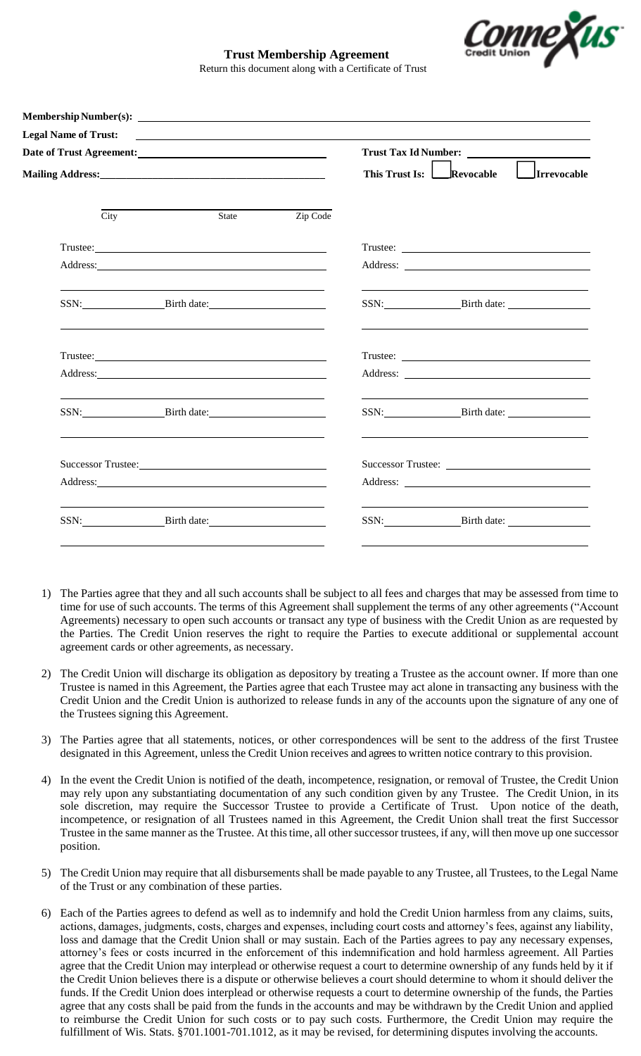

## **Trust Membership Agreement** Return this document along with a Certificate of Trust

| <b>Legal Name of Trust:</b><br><u> 1989 - Johann Barn, mars ann an t-Amhainn an t-Amhainn an t-Amhainn an t-Amhainn an t-Amhainn an t-Amhainn an </u> |                                                                                                                                                                                                                                |          | Trust Tax Id Number: |                                                                                                                                                                                                                                                                                                                                                                                                                                                                                                                                                                 |
|-------------------------------------------------------------------------------------------------------------------------------------------------------|--------------------------------------------------------------------------------------------------------------------------------------------------------------------------------------------------------------------------------|----------|----------------------|-----------------------------------------------------------------------------------------------------------------------------------------------------------------------------------------------------------------------------------------------------------------------------------------------------------------------------------------------------------------------------------------------------------------------------------------------------------------------------------------------------------------------------------------------------------------|
|                                                                                                                                                       |                                                                                                                                                                                                                                |          |                      | This Trust Is: Revocable Irrevocable                                                                                                                                                                                                                                                                                                                                                                                                                                                                                                                            |
| City                                                                                                                                                  | State                                                                                                                                                                                                                          | Zip Code |                      |                                                                                                                                                                                                                                                                                                                                                                                                                                                                                                                                                                 |
|                                                                                                                                                       | Trustee: The contract of the contract of the contract of the contract of the contract of the contract of the contract of the contract of the contract of the contract of the contract of the contract of the contract of the c |          |                      |                                                                                                                                                                                                                                                                                                                                                                                                                                                                                                                                                                 |
|                                                                                                                                                       | Address: 2008 and 2008 and 2008 and 2008 and 2008 and 2008 and 2008 and 2008 and 2008 and 2008 and 2008 and 2008 and 2008 and 2008 and 2008 and 2008 and 2008 and 2008 and 2008 and 2008 and 2008 and 2008 and 2008 and 2008 a |          |                      |                                                                                                                                                                                                                                                                                                                                                                                                                                                                                                                                                                 |
|                                                                                                                                                       | SSN: Birth date:                                                                                                                                                                                                               |          |                      | SSN: Birth date:                                                                                                                                                                                                                                                                                                                                                                                                                                                                                                                                                |
|                                                                                                                                                       |                                                                                                                                                                                                                                |          |                      | $\text{Trustee:}\n \underline{\hspace{2cm}}\n \underline{\hspace{2cm}}\n \underline{\hspace{2cm}}\n \underline{\hspace{2cm}}\n \underline{\hspace{2cm}}\n \underline{\hspace{2cm}}\n \underline{\hspace{2cm}}\n \underline{\hspace{2cm}}\n \underline{\hspace{2cm}}\n \underline{\hspace{2cm}}\n \underline{\hspace{2cm}}\n \underline{\hspace{2cm}}\n \underline{\hspace{2cm}}\n \underline{\hspace{2cm}}\n \underline{\hspace{2cm}}\n \underline{\hspace{2cm}}\n \underline{\hspace{2cm}}\n \underline{\hspace{2cm}}\n \underline{\hspace{2cm}}\n \underline$ |
|                                                                                                                                                       |                                                                                                                                                                                                                                |          |                      |                                                                                                                                                                                                                                                                                                                                                                                                                                                                                                                                                                 |
|                                                                                                                                                       | SSN: Birth date:                                                                                                                                                                                                               |          |                      | SSN: Birth date:                                                                                                                                                                                                                                                                                                                                                                                                                                                                                                                                                |
|                                                                                                                                                       |                                                                                                                                                                                                                                |          |                      |                                                                                                                                                                                                                                                                                                                                                                                                                                                                                                                                                                 |
|                                                                                                                                                       |                                                                                                                                                                                                                                |          |                      |                                                                                                                                                                                                                                                                                                                                                                                                                                                                                                                                                                 |
|                                                                                                                                                       | SSN: Birth date:                                                                                                                                                                                                               |          |                      | the control of the control of the control of the control of the control of the control of<br>SSN: Birth date:                                                                                                                                                                                                                                                                                                                                                                                                                                                   |

- 1) The Parties agree that they and all such accounts shall be subject to all fees and charges that may be assessed from time to time for use of such accounts. The terms of this Agreement shall supplement the terms of any other agreements ("Account Agreements) necessary to open such accounts or transact any type of business with the Credit Union as are requested by the Parties. The Credit Union reserves the right to require the Parties to execute additional or supplemental account agreement cards or other agreements, as necessary.
- 2) The Credit Union will discharge its obligation as depository by treating a Trustee as the account owner. If more than one Trustee is named in this Agreement, the Parties agree that each Trustee may act alone in transacting any business with the Credit Union and the Credit Union is authorized to release funds in any of the accounts upon the signature of any one of the Trustees signing this Agreement.
- 3) The Parties agree that all statements, notices, or other correspondences will be sent to the address of the first Trustee designated in this Agreement, unless the Credit Union receives and agrees to written notice contrary to this provision.
- 4) In the event the Credit Union is notified of the death, incompetence, resignation, or removal of Trustee, the Credit Union may rely upon any substantiating documentation of any such condition given by any Trustee. The Credit Union, in its sole discretion, may require the Successor Trustee to provide a Certificate of Trust. Upon notice of the death, incompetence, or resignation of all Trustees named in this Agreement, the Credit Union shall treat the first Successor Trustee in the same manner as the Trustee. At this time, all other successor trustees, if any, will then move up one successor position.
- 5) The Credit Union may require that all disbursements shall be made payable to any Trustee, all Trustees, to the Legal Name of the Trust or any combination of these parties.
- 6) Each of the Parties agrees to defend as well as to indemnify and hold the Credit Union harmless from any claims, suits, actions, damages, judgments, costs, charges and expenses, including court costs and attorney's fees, against any liability, loss and damage that the Credit Union shall or may sustain. Each of the Parties agrees to pay any necessary expenses, attorney's fees or costs incurred in the enforcement of this indemnification and hold harmless agreement. All Parties agree that the Credit Union may interplead or otherwise request a court to determine ownership of any funds held by it if the Credit Union believes there is a dispute or otherwise believes a court should determine to whom it should deliver the funds. If the Credit Union does interplead or otherwise requests a court to determine ownership of the funds, the Parties agree that any costs shall be paid from the funds in the accounts and may be withdrawn by the Credit Union and applied to reimburse the Credit Union for such costs or to pay such costs. Furthermore, the Credit Union may require the fulfillment of Wis. Stats. §701.1001-701.1012, as it may be revised, for determining disputes involving the accounts.